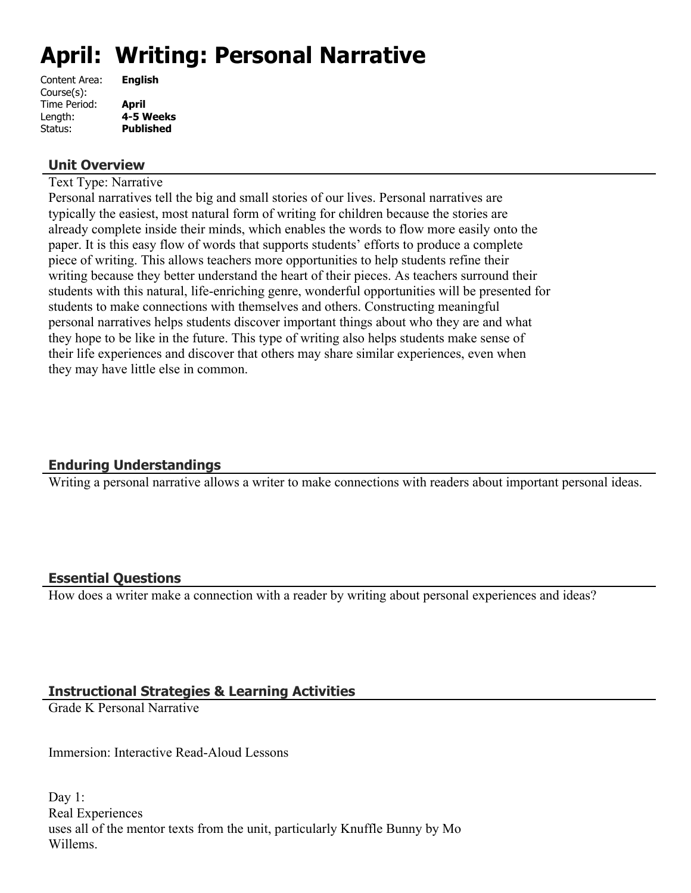# **April: Writing: Personal Narrative**

| <b>English</b>   |
|------------------|
|                  |
| April            |
| 4-5 Weeks        |
| <b>Published</b> |
|                  |

#### **Unit Overview**

Text Type: Narrative

Personal narratives tell the big and small stories of our lives. Personal narratives are typically the easiest, most natural form of writing for children because the stories are already complete inside their minds, which enables the words to flow more easily onto the paper. It is this easy flow of words that supports students' efforts to produce a complete piece of writing. This allows teachers more opportunities to help students refine their writing because they better understand the heart of their pieces. As teachers surround their students with this natural, life-enriching genre, wonderful opportunities will be presented for students to make connections with themselves and others. Constructing meaningful personal narratives helps students discover important things about who they are and what they hope to be like in the future. This type of writing also helps students make sense of their life experiences and discover that others may share similar experiences, even when they may have little else in common.

## **Enduring Understandings**

Writing a personal narrative allows a writer to make connections with readers about important personal ideas.

#### **Essential Questions**

How does a writer make a connection with a reader by writing about personal experiences and ideas?

## **Instructional Strategies & Learning Activities**

Grade K Personal Narrative

Immersion: Interactive Read-Aloud Lessons

Day 1: Real Experiences uses all of the mentor texts from the unit, particularly Knuffle Bunny by Mo Willems.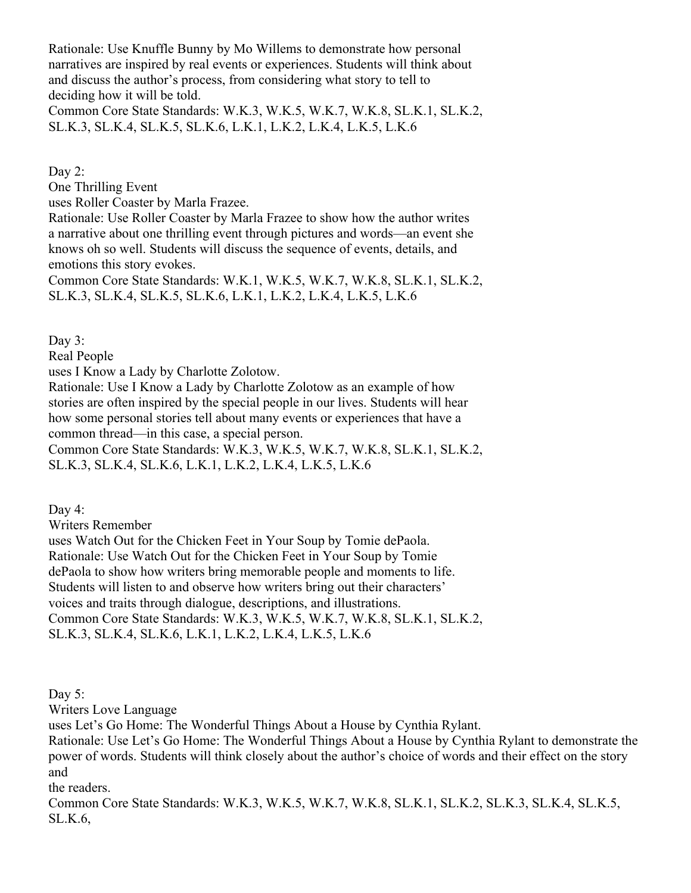Rationale: Use Knuffle Bunny by Mo Willems to demonstrate how personal narratives are inspired by real events or experiences. Students will think about and discuss the author's process, from considering what story to tell to deciding how it will be told.

Common Core State Standards: W.K.3, W.K.5, W.K.7, W.K.8, SL.K.1, SL.K.2, SL.K.3, SL.K.4, SL.K.5, SL.K.6, L.K.1, L.K.2, L.K.4, L.K.5, L.K.6

Day 2:

One Thrilling Event

uses Roller Coaster by Marla Frazee.

Rationale: Use Roller Coaster by Marla Frazee to show how the author writes a narrative about one thrilling event through pictures and words—an event she knows oh so well. Students will discuss the sequence of events, details, and emotions this story evokes.

Common Core State Standards: W.K.1, W.K.5, W.K.7, W.K.8, SL.K.1, SL.K.2, SL.K.3, SL.K.4, SL.K.5, SL.K.6, L.K.1, L.K.2, L.K.4, L.K.5, L.K.6

Day 3:

Real People

uses I Know a Lady by Charlotte Zolotow.

Rationale: Use I Know a Lady by Charlotte Zolotow as an example of how stories are often inspired by the special people in our lives. Students will hear how some personal stories tell about many events or experiences that have a common thread—in this case, a special person.

Common Core State Standards: W.K.3, W.K.5, W.K.7, W.K.8, SL.K.1, SL.K.2, SL.K.3, SL.K.4, SL.K.6, L.K.1, L.K.2, L.K.4, L.K.5, L.K.6

Day 4:

Writers Remember

uses Watch Out for the Chicken Feet in Your Soup by Tomie dePaola. Rationale: Use Watch Out for the Chicken Feet in Your Soup by Tomie dePaola to show how writers bring memorable people and moments to life. Students will listen to and observe how writers bring out their characters' voices and traits through dialogue, descriptions, and illustrations. Common Core State Standards: W.K.3, W.K.5, W.K.7, W.K.8, SL.K.1, SL.K.2, SL.K.3, SL.K.4, SL.K.6, L.K.1, L.K.2, L.K.4, L.K.5, L.K.6

Day 5:

Writers Love Language

uses Let's Go Home: The Wonderful Things About a House by Cynthia Rylant.

Rationale: Use Let's Go Home: The Wonderful Things About a House by Cynthia Rylant to demonstrate the power of words. Students will think closely about the author's choice of words and their effect on the story and

the readers.

Common Core State Standards: W.K.3, W.K.5, W.K.7, W.K.8, SL.K.1, SL.K.2, SL.K.3, SL.K.4, SL.K.5, SL.K.6,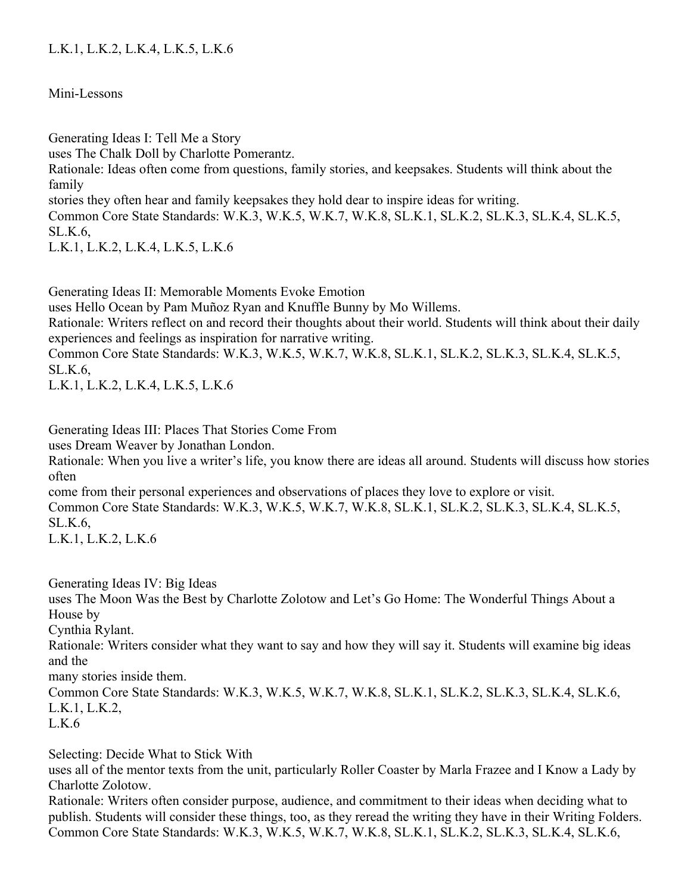## L.K.1, L.K.2, L.K.4, L.K.5, L.K.6

Mini-Lessons

Generating Ideas I: Tell Me a Story uses The Chalk Doll by Charlotte Pomerantz. Rationale: Ideas often come from questions, family stories, and keepsakes. Students will think about the family stories they often hear and family keepsakes they hold dear to inspire ideas for writing. Common Core State Standards: W.K.3, W.K.5, W.K.7, W.K.8, SL.K.1, SL.K.2, SL.K.3, SL.K.4, SL.K.5, SL.K.6, L.K.1, L.K.2, L.K.4, L.K.5, L.K.6

Generating Ideas II: Memorable Moments Evoke Emotion uses Hello Ocean by Pam Muñoz Ryan and Knuffle Bunny by Mo Willems. Rationale: Writers reflect on and record their thoughts about their world. Students will think about their daily experiences and feelings as inspiration for narrative writing. Common Core State Standards: W.K.3, W.K.5, W.K.7, W.K.8, SL.K.1, SL.K.2, SL.K.3, SL.K.4, SL.K.5, SL.K.6,

L.K.1, L.K.2, L.K.4, L.K.5, L.K.6

Generating Ideas III: Places That Stories Come From

uses Dream Weaver by Jonathan London.

Rationale: When you live a writer's life, you know there are ideas all around. Students will discuss how stories often

come from their personal experiences and observations of places they love to explore or visit. Common Core State Standards: W.K.3, W.K.5, W.K.7, W.K.8, SL.K.1, SL.K.2, SL.K.3, SL.K.4, SL.K.5, SL.K.6,

L.K.1, L.K.2, L.K.6

Generating Ideas IV: Big Ideas

uses The Moon Was the Best by Charlotte Zolotow and Let's Go Home: The Wonderful Things About a House by

Cynthia Rylant.

Rationale: Writers consider what they want to say and how they will say it. Students will examine big ideas and the

many stories inside them.

Common Core State Standards: W.K.3, W.K.5, W.K.7, W.K.8, SL.K.1, SL.K.2, SL.K.3, SL.K.4, SL.K.6, L.K.1, L.K.2,

 $L.K.6$ 

Selecting: Decide What to Stick With

uses all of the mentor texts from the unit, particularly Roller Coaster by Marla Frazee and I Know a Lady by Charlotte Zolotow.

Rationale: Writers often consider purpose, audience, and commitment to their ideas when deciding what to publish. Students will consider these things, too, as they reread the writing they have in their Writing Folders. Common Core State Standards: W.K.3, W.K.5, W.K.7, W.K.8, SL.K.1, SL.K.2, SL.K.3, SL.K.4, SL.K.6,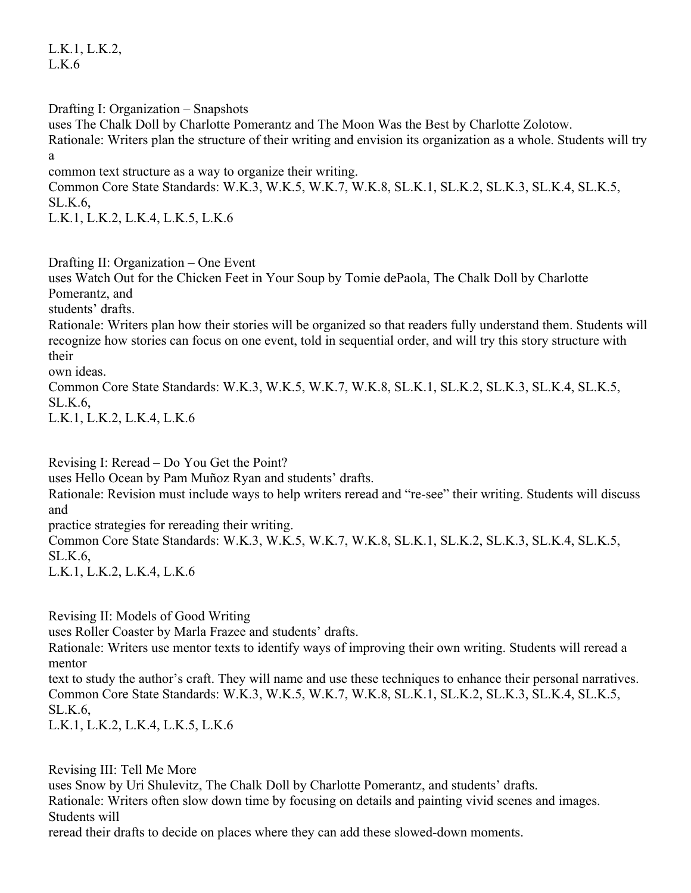L.K.1, L.K.2,  $L_K$ 6

Drafting I: Organization – Snapshots uses The Chalk Doll by Charlotte Pomerantz and The Moon Was the Best by Charlotte Zolotow. Rationale: Writers plan the structure of their writing and envision its organization as a whole. Students will try a

common text structure as a way to organize their writing.

Common Core State Standards: W.K.3, W.K.5, W.K.7, W.K.8, SL.K.1, SL.K.2, SL.K.3, SL.K.4, SL.K.5, SL.K.6,

L.K.1, L.K.2, L.K.4, L.K.5, L.K.6

Drafting II: Organization – One Event

uses Watch Out for the Chicken Feet in Your Soup by Tomie dePaola, The Chalk Doll by Charlotte Pomerantz, and

students' drafts.

Rationale: Writers plan how their stories will be organized so that readers fully understand them. Students will recognize how stories can focus on one event, told in sequential order, and will try this story structure with their

own ideas.

Common Core State Standards: W.K.3, W.K.5, W.K.7, W.K.8, SL.K.1, SL.K.2, SL.K.3, SL.K.4, SL.K.5, SL.K.6,

L.K.1, L.K.2, L.K.4, L.K.6

Revising I: Reread – Do You Get the Point?

uses Hello Ocean by Pam Muñoz Ryan and students' drafts.

Rationale: Revision must include ways to help writers reread and "re-see" their writing. Students will discuss and

practice strategies for rereading their writing.

Common Core State Standards: W.K.3, W.K.5, W.K.7, W.K.8, SL.K.1, SL.K.2, SL.K.3, SL.K.4, SL.K.5, SL.K.6,

L.K.1, L.K.2, L.K.4, L.K.6

Revising II: Models of Good Writing

uses Roller Coaster by Marla Frazee and students' drafts.

Rationale: Writers use mentor texts to identify ways of improving their own writing. Students will reread a mentor

text to study the author's craft. They will name and use these techniques to enhance their personal narratives. Common Core State Standards: W.K.3, W.K.5, W.K.7, W.K.8, SL.K.1, SL.K.2, SL.K.3, SL.K.4, SL.K.5, SL.K.6,

L.K.1, L.K.2, L.K.4, L.K.5, L.K.6

Revising III: Tell Me More uses Snow by Uri Shulevitz, The Chalk Doll by Charlotte Pomerantz, and students' drafts. Rationale: Writers often slow down time by focusing on details and painting vivid scenes and images. Students will

reread their drafts to decide on places where they can add these slowed-down moments.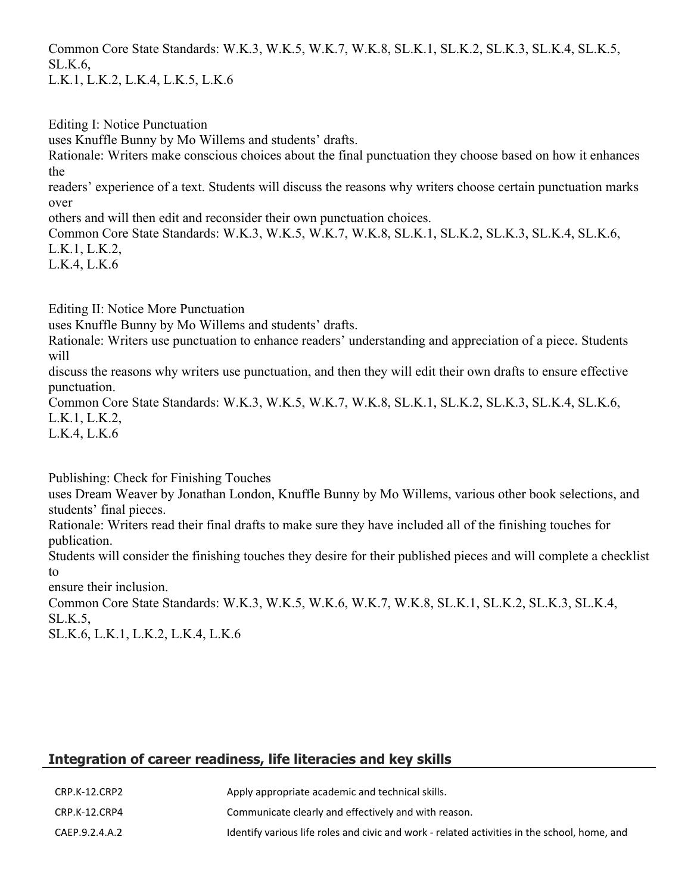Common Core State Standards: W.K.3, W.K.5, W.K.7, W.K.8, SL.K.1, SL.K.2, SL.K.3, SL.K.4, SL.K.5, SL.K.6,

L.K.1, L.K.2, L.K.4, L.K.5, L.K.6

Editing I: Notice Punctuation

uses Knuffle Bunny by Mo Willems and students' drafts.

Rationale: Writers make conscious choices about the final punctuation they choose based on how it enhances the

readers' experience of a text. Students will discuss the reasons why writers choose certain punctuation marks over

others and will then edit and reconsider their own punctuation choices.

Common Core State Standards: W.K.3, W.K.5, W.K.7, W.K.8, SL.K.1, SL.K.2, SL.K.3, SL.K.4, SL.K.6, L.K.1, L.K.2,

L.K.4, L.K.6

Editing II: Notice More Punctuation

uses Knuffle Bunny by Mo Willems and students' drafts.

Rationale: Writers use punctuation to enhance readers' understanding and appreciation of a piece. Students will

discuss the reasons why writers use punctuation, and then they will edit their own drafts to ensure effective punctuation.

Common Core State Standards: W.K.3, W.K.5, W.K.7, W.K.8, SL.K.1, SL.K.2, SL.K.3, SL.K.4, SL.K.6, L.K.1, L.K.2,

L.K.4, L.K.6

Publishing: Check for Finishing Touches

uses Dream Weaver by Jonathan London, Knuffle Bunny by Mo Willems, various other book selections, and students' final pieces.

Rationale: Writers read their final drafts to make sure they have included all of the finishing touches for publication.

Students will consider the finishing touches they desire for their published pieces and will complete a checklist to

ensure their inclusion.

Common Core State Standards: W.K.3, W.K.5, W.K.6, W.K.7, W.K.8, SL.K.1, SL.K.2, SL.K.3, SL.K.4, SL.K.5,

SL.K.6, L.K.1, L.K.2, L.K.4, L.K.6

# **Integration of career readiness, life literacies and key skills**

| CRP.K-12.CRP2  | Apply appropriate academic and technical skills.                                             |
|----------------|----------------------------------------------------------------------------------------------|
| CRP.K-12.CRP4  | Communicate clearly and effectively and with reason.                                         |
| CAEP.9.2.4.A.2 | Identify various life roles and civic and work - related activities in the school, home, and |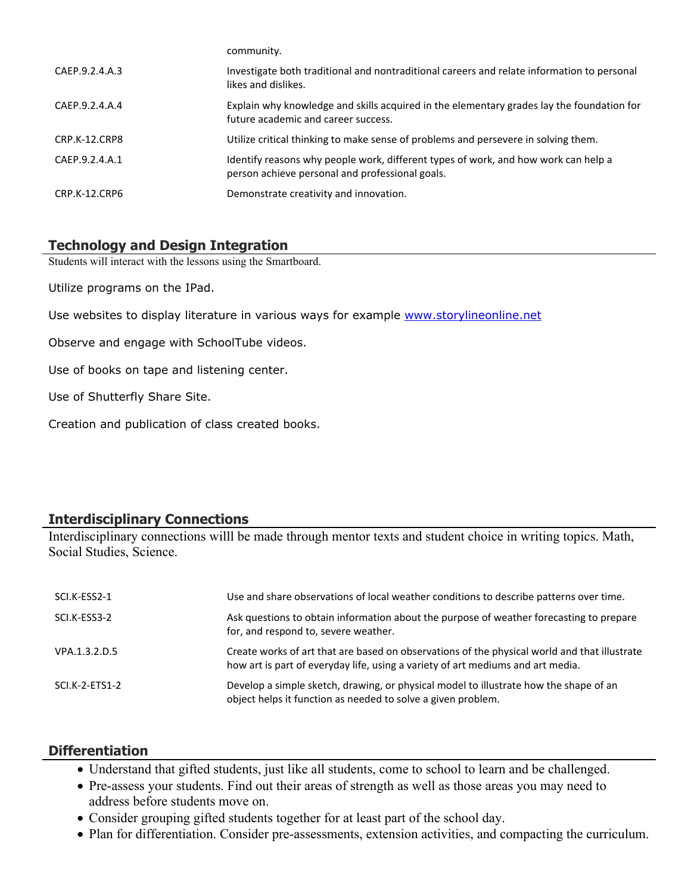|                | CUTTILIQUILLY.                                                                                                                        |
|----------------|---------------------------------------------------------------------------------------------------------------------------------------|
| CAEP.9.2.4.A.3 | Investigate both traditional and nontraditional careers and relate information to personal<br>likes and dislikes.                     |
| CAEP.9.2.4.A.4 | Explain why knowledge and skills acquired in the elementary grades lay the foundation for<br>future academic and career success.      |
| CRP.K-12.CRP8  | Utilize critical thinking to make sense of problems and persevere in solving them.                                                    |
| CAEP.9.2.4.A.1 | Identify reasons why people work, different types of work, and how work can help a<br>person achieve personal and professional goals. |
| CRP.K-12.CRP6  | Demonstrate creativity and innovation.                                                                                                |

#### **Technology and Design Integration**

Students will interact with the lessons using the Smartboard.

Utilize programs on the IPad.

Use websites to display literature in various ways for example [www.storylineonline.net](http://www.storylineonline.net/)

community.

Observe and engage with SchoolTube videos.

Use of books on tape and listening center.

Use of Shutterfly Share Site.

Creation and publication of class created books.

#### **Interdisciplinary Connections**

Interdisciplinary connections willl be made through mentor texts and student choice in writing topics. Math, Social Studies, Science.

| SCI.K-ESS2-1   | Use and share observations of local weather conditions to describe patterns over time.                                                                                          |
|----------------|---------------------------------------------------------------------------------------------------------------------------------------------------------------------------------|
| SCI.K-ESS3-2   | Ask questions to obtain information about the purpose of weather forecasting to prepare<br>for, and respond to, severe weather.                                                 |
| VPA.1.3.2.D.5  | Create works of art that are based on observations of the physical world and that illustrate<br>how art is part of everyday life, using a variety of art mediums and art media. |
| SCI.K-2-ETS1-2 | Develop a simple sketch, drawing, or physical model to illustrate how the shape of an<br>object helps it function as needed to solve a given problem.                           |

#### **Differentiation**

- Understand that gifted students, just like all students, come to school to learn and be challenged.
- Pre-assess your students. Find out their areas of strength as well as those areas you may need to address before students move on.
- Consider grouping gifted students together for at least part of the school day.
- Plan for differentiation. Consider pre-assessments, extension activities, and compacting the curriculum.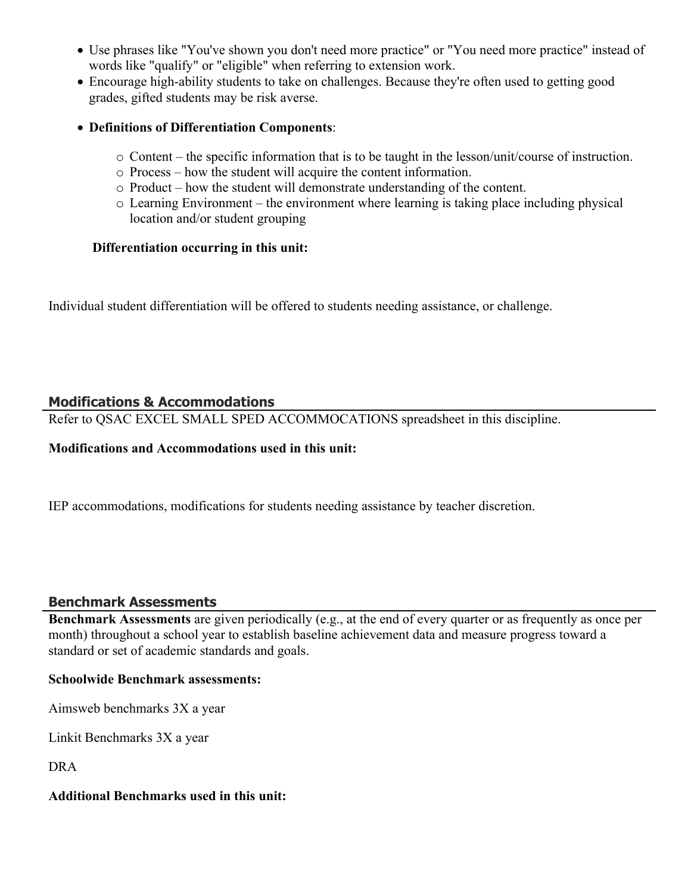- Use phrases like "You've shown you don't need more practice" or "You need more practice" instead of words like "qualify" or "eligible" when referring to extension work.
- Encourage high-ability students to take on challenges. Because they're often used to getting good grades, gifted students may be risk averse.
- **Definitions of Differentiation Components**:
	- o Content the specific information that is to be taught in the lesson/unit/course of instruction.
	- o Process how the student will acquire the content information.
	- o Product how the student will demonstrate understanding of the content.
	- o Learning Environment the environment where learning is taking place including physical location and/or student grouping

#### **Differentiation occurring in this unit:**

Individual student differentiation will be offered to students needing assistance, or challenge.

## **Modifications & Accommodations**

Refer to QSAC EXCEL SMALL SPED ACCOMMOCATIONS spreadsheet in this discipline.

#### **Modifications and Accommodations used in this unit:**

IEP accommodations, modifications for students needing assistance by teacher discretion.

#### **Benchmark Assessments**

**Benchmark Assessments** are given periodically (e.g., at the end of every quarter or as frequently as once per month) throughout a school year to establish baseline achievement data and measure progress toward a standard or set of academic standards and goals.

#### **Schoolwide Benchmark assessments:**

Aimsweb benchmarks 3X a year

Linkit Benchmarks 3X a year

DRA

## **Additional Benchmarks used in this unit:**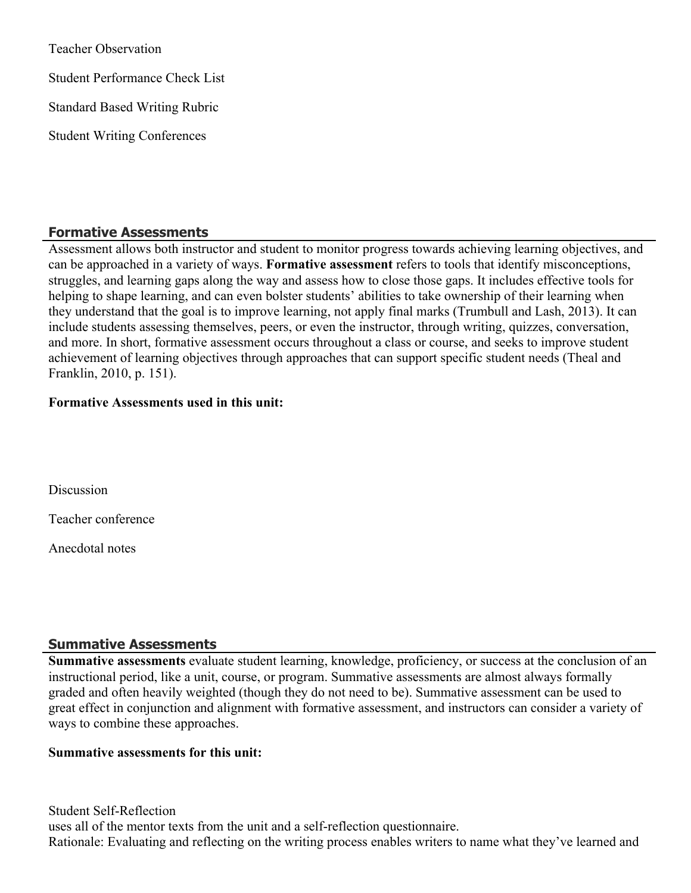Teacher Observation Student Performance Check List Standard Based Writing Rubric Student Writing Conferences

#### **Formative Assessments**

Assessment allows both instructor and student to monitor progress towards achieving learning objectives, and can be approached in a variety of ways. **Formative assessment** refers to tools that identify misconceptions, struggles, and learning gaps along the way and assess how to close those gaps. It includes effective tools for helping to shape learning, and can even bolster students' abilities to take ownership of their learning when they understand that the goal is to improve learning, not apply final marks (Trumbull and Lash, 2013). It can include students assessing themselves, peers, or even the instructor, through writing, quizzes, conversation, and more. In short, formative assessment occurs throughout a class or course, and seeks to improve student achievement of learning objectives through approaches that can support specific student needs (Theal and Franklin, 2010, p. 151).

#### **Formative Assessments used in this unit:**

**Discussion** 

Teacher conference

Anecdotal notes

#### **Summative Assessments**

**Summative assessments** evaluate student learning, knowledge, proficiency, or success at the conclusion of an instructional period, like a unit, course, or program. Summative assessments are almost always formally graded and often heavily weighted (though they do not need to be). Summative assessment can be used to great effect in conjunction and alignment with formative assessment, and instructors can consider a variety of ways to combine these approaches.

#### **Summative assessments for this unit:**

Student Self-Reflection uses all of the mentor texts from the unit and a self-reflection questionnaire. Rationale: Evaluating and reflecting on the writing process enables writers to name what they've learned and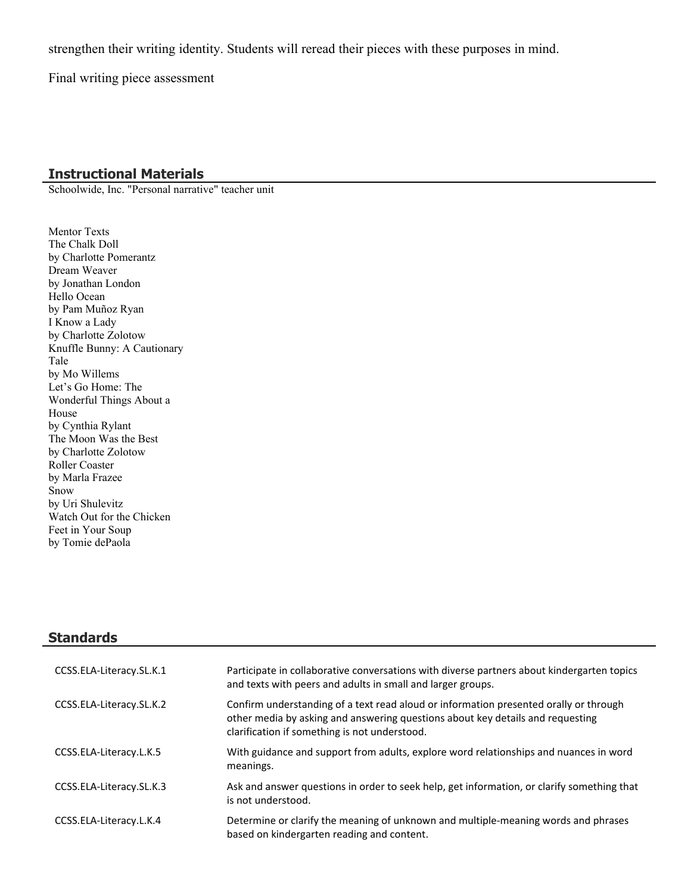strengthen their writing identity. Students will reread their pieces with these purposes in mind.

Final writing piece assessment

#### **Instructional Materials**

Schoolwide, Inc. "Personal narrative" teacher unit

Mentor Texts The Chalk Doll by Charlotte Pomerantz Dream Weaver by Jonathan London Hello Ocean by Pam Muñoz Ryan I Know a Lady by Charlotte Zolotow Knuffle Bunny: A Cautionary Tale by Mo Willems Let's Go Home: The Wonderful Things About a House by Cynthia Rylant The Moon Was the Best by Charlotte Zolotow Roller Coaster by Marla Frazee Snow by Uri Shulevitz Watch Out for the Chicken Feet in Your Soup by Tomie dePaola

#### **Standards**

| CCSS.ELA-Literacy.SL.K.1 | Participate in collaborative conversations with diverse partners about kindergarten topics<br>and texts with peers and adults in small and larger groups.                                                                |
|--------------------------|--------------------------------------------------------------------------------------------------------------------------------------------------------------------------------------------------------------------------|
| CCSS.ELA-Literacy.SL.K.2 | Confirm understanding of a text read aloud or information presented orally or through<br>other media by asking and answering questions about key details and requesting<br>clarification if something is not understood. |
| CCSS.ELA-Literacy.L.K.5  | With guidance and support from adults, explore word relationships and nuances in word<br>meanings.                                                                                                                       |
| CCSS.ELA-Literacy.SL.K.3 | Ask and answer questions in order to seek help, get information, or clarify something that<br>is not understood.                                                                                                         |
| CCSS.ELA-Literacy.L.K.4  | Determine or clarify the meaning of unknown and multiple-meaning words and phrases<br>based on kindergarten reading and content.                                                                                         |